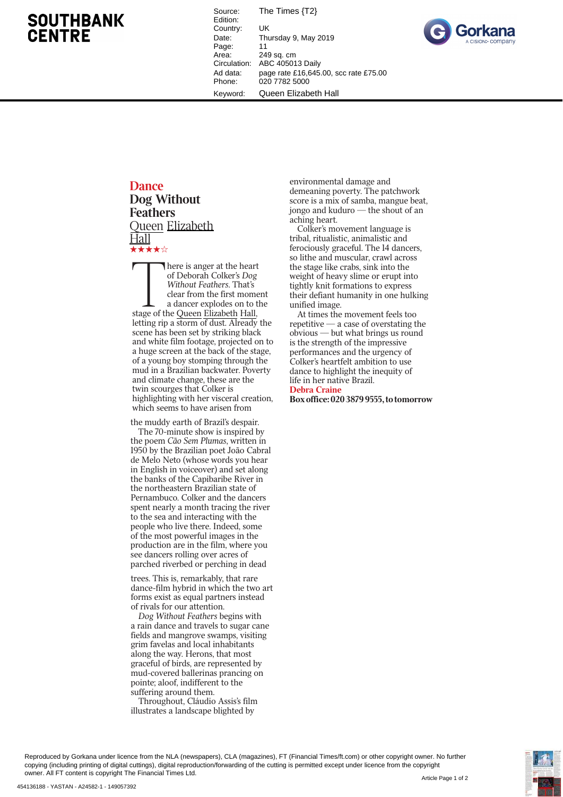## **SOUTHBANK CENTRE**

Source: The Times {T2} Edition: Country: UK<br>Date: Thu Thursday 9, May 2019 Page: 11<br>Area: 24 Area: 249 sq. cm<br>Circulation: ABC 40501 ABC 405013 Daily Ad data: page rate £16,645.00, scc rate £75.00 Phone: 020 7782 5000 Keyword: Queen Elizabeth Hall



## **Dance**

**Dog Without Feathers Oueen Elizabeth**  $_{\rm Hall}$ 

 ${\bf x}$ <br> $\begin{bmatrix} 1 \\ 1 \\ 2 \end{bmatrix}$ here is anger at the heart of Deborah Colker's *Dog Without Feathers*. That's clear from the first moment a dancer explodes on to the stage of the Queen Elizabeth Hall, letting rip a storm of dust. Already the scene has been set by striking black and white film footage, projected on to a huge screen at the back of the stage, of a young boy stomping through the mud in a Brazilian backwater. Poverty and climate change, these are the twin scourges that Colker is highlighting with her visceral creation, which seems to have arisen from

the muddy earth of Brazil's despair. The 70-minute show is inspired by the poem *Cão Sem Plumas*, written in 1950 by the Brazilian poet João Cabral de Melo Neto (whose words you hear in English in voiceover) and set along the banks of the Capibaribe River in the northeastern Brazilian state of Pernambuco. Colker and the dancers spent nearly a month tracing the river to the sea and interacting with the people who live there. Indeed, some of the most powerful images in the production are in the film, where you see dancers rolling over acres of parched riverbed or perching in dead

trees. This is, remarkably, that rare dance-film hybrid in which the two art forms exist as equal partners instead of rivals for our attention.

*Dog Without Feathers* begins with a rain dance and travels to sugar cane fields and mangrove swamps, visiting grim favelas and local inhabitants along the way. Herons, that most graceful of birds, are represented by mud-covered ballerinas prancing on pointe; aloof, indifferent to the suffering around them.

Throughout, Cláudio Assis's film illustrates a landscape blighted by

environmental damage and demeaning poverty. The patchwork score is a mix of samba, mangue beat, jongo and kuduro — the shout of an aching heart.

Colker's movement language is tribal, ritualistic, animalistic and ferociously graceful. The 14 dancers, so lithe and muscular, crawl across the stage like crabs, sink into the weight of heavy slime or erupt into tightly knit formations to express their defiant humanity in one hulking unified image.

At times the movement feels too repetitive — a case of overstating the obvious — but what brings us round is the strength of the impressive performances and the urgency of Colker's heartfelt ambition to use dance to highlight the inequity of life in her native Brazil.

Debra Craine Box office: 020 3879 9555, to tomorrow

Reproduced by Gorkana under licence from the NLA (newspapers), CLA (magazines), FT (Financial Times/ft.com) or other copyright owner. No further copying (including printing of digital cuttings), digital reproduction/forwarding of the cutting is permitted except under licence from the copyright owner. All FT content is copyright The Financial Times Ltd.